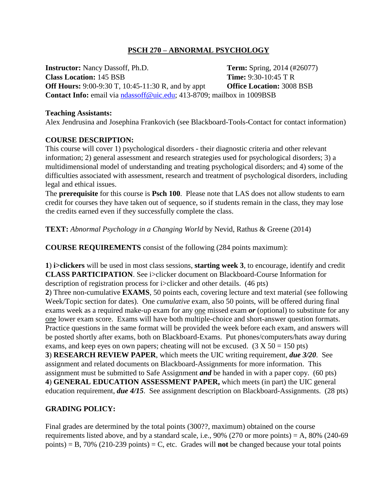# **PSCH 270 – ABNORMAL PSYCHOLOGY**

**Instructor:** Nancy Dassoff, Ph.D. **Term:** Spring, 2014 (#26077) **Class Location:** 145 BSB **Time:** 9:30-10:45 T R **Off Hours:** 9:00-9:30 T, 10:45-11:30 R, and by appt **Office Location:** 3008 BSB **Contact Info:** email via [ndassoff@uic.edu;](mailto:ndassoff@uic.edu) 413-8709; mailbox in 1009BSB

#### **Teaching Assistants:**

Alex Jendrusina and Josephina Frankovich (see Blackboard-Tools-Contact for contact information)

### **COURSE DESCRIPTION:**

This course will cover 1) psychological disorders - their diagnostic criteria and other relevant information; 2) general assessment and research strategies used for psychological disorders; 3) a multidimensional model of understanding and treating psychological disorders; and 4) some of the difficulties associated with assessment, research and treatment of psychological disorders, including legal and ethical issues.

The **prerequisite** for this course is **Psch 100**. Please note that LAS does not allow students to earn credit for courses they have taken out of sequence, so if students remain in the class, they may lose the credits earned even if they successfully complete the class.

**TEXT:** *Abnormal Psychology in a Changing World* by Nevid, Rathus & Greene (2014)

**COURSE REQUIREMENTS** consist of the following (284 points maximum):

**1**) **i>clickers** will be used in most class sessions, **starting week 3**, to encourage, identify and credit **CLASS PARTICIPATION**. See i>clicker document on Blackboard-Course Information for description of registration process for i>clicker and other details. (46 pts) **2**) Three non-cumulative **EXAMS**, 50 points each, covering lecture and text material (see following Week/Topic section for dates). One *cumulative* exam, also 50 points, will be offered during final exams week as a required make-up exam for any one missed exam *or* (optional) to substitute for any one lower exam score. Exams will have both multiple-choice and short-answer question formats. Practice questions in the same format will be provided the week before each exam, and answers will be posted shortly after exams, both on Blackboard-Exams. Put phones/computers/hats away during exams, and keep eyes on own papers; cheating will not be excused.  $(3 X 50 = 150 \text{ pts})$ **3**) **RESEARCH REVIEW PAPER**, which meets the UIC writing requirement, *due 3/20*. See assignment and related documents on Blackboard-Assignments for more information. This assignment must be submitted to Safe Assignment *and* be handed in with a paper copy. (60 pts) **4**) **GENERAL EDUCATION ASSESSMENT PAPER,** which meets (in part) the UIC general education requirement, *due 4/15*. See assignment description on Blackboard-Assignments. (28 pts)

# **GRADING POLICY:**

Final grades are determined by the total points (300??, maximum) obtained on the course requirements listed above, and by a standard scale, i.e.,  $90\%$  (270 or more points) = A,  $80\%$  (240-69 points) = B, 70% (210-239 points) = C, etc. Grades will **not** be changed because your total points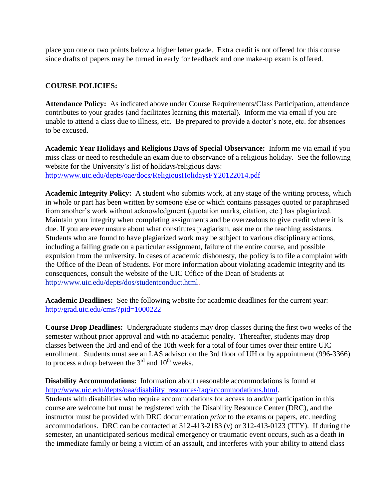place you one or two points below a higher letter grade. Extra credit is not offered for this course since drafts of papers may be turned in early for feedback and one make-up exam is offered.

# **COURSE POLICIES:**

**Attendance Policy:** As indicated above under Course Requirements/Class Participation, attendance contributes to your grades (and facilitates learning this material). Inform me via email if you are unable to attend a class due to illness, etc. Be prepared to provide a doctor's note, etc. for absences to be excused.

**Academic Year Holidays and Religious Days of Special Observance:** Inform me via email if you miss class or need to reschedule an exam due to observance of a religious holiday. See the following website for the University's list of holidays/religious days: <http://www.uic.edu/depts/oae/docs/ReligiousHolidaysFY20122014.pdf>

**Academic Integrity Policy:** A student who submits work, at any stage of the writing process, which in whole or part has been written by someone else or which contains passages quoted or paraphrased from another's work without acknowledgment (quotation marks, citation, etc.) has plagiarized. Maintain your integrity when completing assignments and be overzealous to give credit where it is due. If you are ever unsure about what constitutes plagiarism, ask me or the teaching assistants. Students who are found to have plagiarized work may be subject to various disciplinary actions, including a failing grade on a particular assignment, failure of the entire course, and possible expulsion from the university. In cases of academic dishonesty, the policy is to file a complaint with the Office of the Dean of Students. For more information about violating academic integrity and its consequences, consult the website of the UIC Office of the Dean of Students at [http://www.uic.edu/depts/dos/studentconduct.html.](http://www.uic.edu/depts/dos/studentconduct.html)

**Academic Deadlines:** See the following website for academic deadlines for the current year: <http://grad.uic.edu/cms/?pid=1000222>

**Course Drop Deadlines:** Undergraduate students may drop classes during the first two weeks of the semester without prior approval and with no academic penalty. Thereafter, students may drop classes between the 3rd and end of the 10th week for a total of four times over their entire UIC enrollment. Students must see an LAS advisor on the 3rd floor of UH or by appointment (996-3366) to process a drop between the  $3<sup>rd</sup>$  and  $10<sup>th</sup>$  weeks.

**Disability Accommodations:** Information about reasonable accommodations is found at [http://www.uic.edu/depts/oaa/disability\\_resources/faq/accommodations.html.](http://www.uic.edu/depts/oaa/disability_resources/faq/accommodations.html) Students with disabilities who require accommodations for access to and/or participation in this course are welcome but must be registered with the Disability Resource Center (DRC), and the instructor must be provided with DRC documentation *prior* to the exams or papers, etc. needing accommodations. DRC can be contacted at 312-413-2183 (v) or 312-413-0123 (TTY). If during the semester, an unanticipated serious medical emergency or traumatic event occurs, such as a death in the immediate family or being a victim of an assault, and interferes with your ability to attend class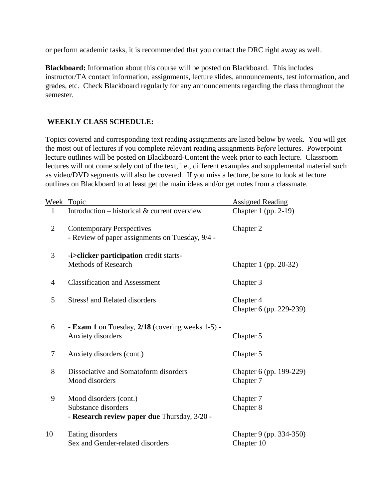or perform academic tasks, it is recommended that you contact the DRC right away as well.

**Blackboard:** Information about this course will be posted on Blackboard. This includes instructor/TA contact information, assignments, lecture slides, announcements, test information, and grades, etc. Check Blackboard regularly for any announcements regarding the class throughout the semester.

# **WEEKLY CLASS SCHEDULE:**

Topics covered and corresponding text reading assignments are listed below by week. You will get the most out of lectures if you complete relevant reading assignments *before* lectures. Powerpoint lecture outlines will be posted on Blackboard-Content the week prior to each lecture. Classroom lectures will not come solely out of the text, i.e., different examples and supplemental material such as video/DVD segments will also be covered. If you miss a lecture, be sure to look at lecture outlines on Blackboard to at least get the main ideas and/or get notes from a classmate.

|                | Week Topic                                                                                    | <b>Assigned Reading</b>               |
|----------------|-----------------------------------------------------------------------------------------------|---------------------------------------|
| $\mathbf{1}$   | Introduction – historical $&$ current overview                                                | Chapter 1 (pp. 2-19)                  |
| $\overline{2}$ | <b>Contemporary Perspectives</b><br>- Review of paper assignments on Tuesday, 9/4 -           | Chapter 2                             |
| 3              | -i>clicker participation credit starts-<br><b>Methods of Research</b>                         | Chapter 1 (pp. 20-32)                 |
| 4              | <b>Classification and Assessment</b>                                                          | Chapter 3                             |
| 5              | <b>Stress! and Related disorders</b>                                                          | Chapter 4<br>Chapter 6 (pp. 229-239)  |
| 6              | - <b>Exam 1</b> on Tuesday, 2/18 (covering weeks 1-5) -<br>Anxiety disorders                  | Chapter 5                             |
| 7              | Anxiety disorders (cont.)                                                                     | Chapter 5                             |
| 8              | Dissociative and Somatoform disorders<br>Mood disorders                                       | Chapter 6 (pp. 199-229)<br>Chapter 7  |
| 9              | Mood disorders (cont.)<br>Substance disorders<br>- Research review paper due Thursday, 3/20 - | Chapter 7<br>Chapter 8                |
| 10             | Eating disorders<br>Sex and Gender-related disorders                                          | Chapter 9 (pp. 334-350)<br>Chapter 10 |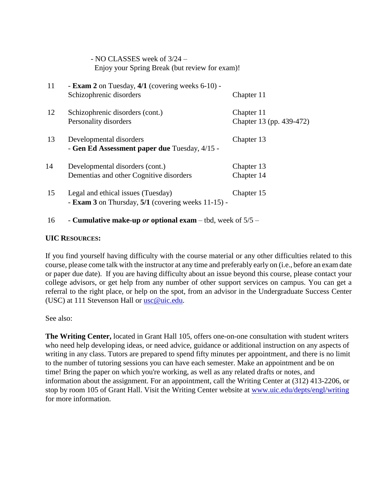| Enjoy your Spring Break (but review for exam)!                 |                                                    |  |
|----------------------------------------------------------------|----------------------------------------------------|--|
| - <b>Exam 2</b> on Tuesday, 4/1 (covering weeks 6-10) -        |                                                    |  |
|                                                                | Chapter 11                                         |  |
| Schizophrenic disorders (cont.)                                | Chapter 11                                         |  |
| Personality disorders                                          | Chapter 13 (pp. 439-472)                           |  |
|                                                                | Chapter 13                                         |  |
| - Gen Ed Assessment paper due Tuesday, 4/15 -                  |                                                    |  |
| Developmental disorders (cont.)                                | Chapter 13                                         |  |
| Dementias and other Cognitive disorders                        | Chapter 14                                         |  |
| Legal and ethical issues (Tuesday)                             | Chapter 15                                         |  |
| - <b>Exam 3</b> on Thursday, $5/1$ (covering weeks $11-15$ ) - |                                                    |  |
|                                                                | Schizophrenic disorders<br>Developmental disorders |  |

# 16 - **Cumulative make-up** *or* **optional exam** – tbd, week of 5/5 –

- NO CLASSES week of 3/24 –

#### **UIC RESOURCES:**

If you find yourself having difficulty with the course material or any other difficulties related to this course, please come talk with the instructor at any time and preferably early on (i.e., before an exam date or paper due date). If you are having difficulty about an issue beyond this course, please contact your college advisors, or get help from any number of other support services on campus. You can get a referral to the right place, or help on the spot, from an advisor in the Undergraduate Success Center (USC) at 111 Stevenson Hall or [usc@uic.edu.](mailto:usc@uic.edu)

See also:

**The Writing Center,** located in Grant Hall 105, offers one-on-one consultation with student writers who need help developing ideas, or need advice, guidance or additional instruction on any aspects of writing in any class. Tutors are prepared to spend fifty minutes per appointment, and there is no limit to the number of tutoring sessions you can have each semester. Make an appointment and be on time! Bring the paper on which you're working, as well as any related drafts or notes, and information about the assignment. For an appointment, call the Writing Center at (312) 413-2206, or stop by room 105 of Grant Hall. Visit the Writing Center website at [www.uic.edu/depts/engl/writing](http://www.uic.edu/depts/engl/writing) for more information.